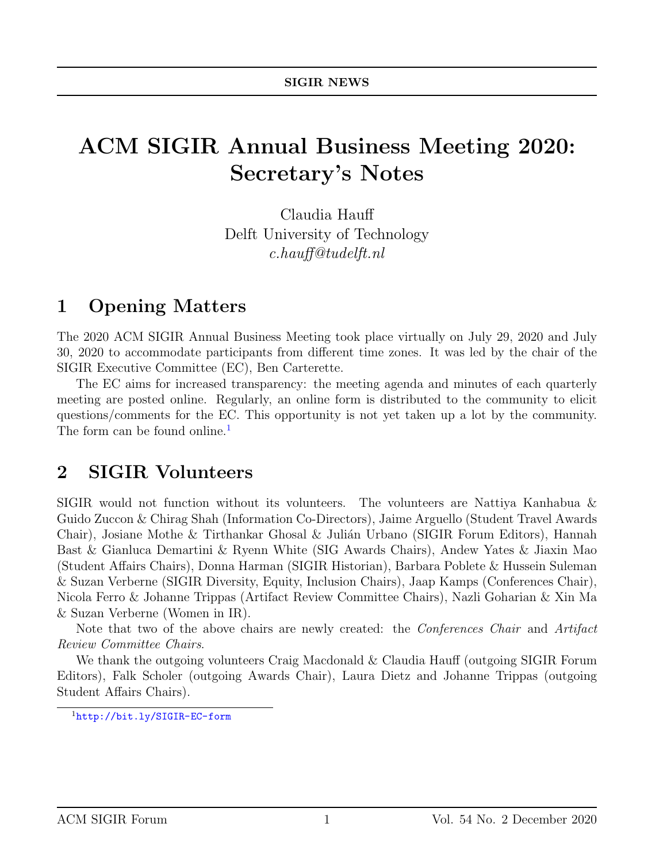# ACM SIGIR Annual Business Meeting 2020: Secretary's Notes

Claudia Hauff Delft University of Technology c.hauff@tudelft.nl

#### 1 Opening Matters

The 2020 ACM SIGIR Annual Business Meeting took place virtually on July 29, 2020 and July 30, 2020 to accommodate participants from different time zones. It was led by the chair of the SIGIR Executive Committee (EC), Ben Carterette.

The EC aims for increased transparency: the meeting agenda and minutes of each quarterly meeting are posted online. Regularly, an online form is distributed to the community to elicit questions/comments for the EC. This opportunity is not yet taken up a lot by the community. The form can be found online.<sup>[1](#page-0-0)</sup>

#### 2 SIGIR Volunteers

SIGIR would not function without its volunteers. The volunteers are Nattiya Kanhabua & Guido Zuccon & Chirag Shah (Information Co-Directors), Jaime Arguello (Student Travel Awards Chair), Josiane Mothe & Tirthankar Ghosal & Julián Urbano (SIGIR Forum Editors), Hannah Bast & Gianluca Demartini & Ryenn White (SIG Awards Chairs), Andew Yates & Jiaxin Mao (Student Affairs Chairs), Donna Harman (SIGIR Historian), Barbara Poblete & Hussein Suleman & Suzan Verberne (SIGIR Diversity, Equity, Inclusion Chairs), Jaap Kamps (Conferences Chair), Nicola Ferro & Johanne Trippas (Artifact Review Committee Chairs), Nazli Goharian & Xin Ma & Suzan Verberne (Women in IR).

Note that two of the above chairs are newly created: the *Conferences Chair* and *Artifact* Review Committee Chairs.

We thank the outgoing volunteers Craig Macdonald & Claudia Hauff (outgoing SIGIR Forum Editors), Falk Scholer (outgoing Awards Chair), Laura Dietz and Johanne Trippas (outgoing Student Affairs Chairs).

<span id="page-0-0"></span><sup>1</sup><http://bit.ly/SIGIR-EC-form>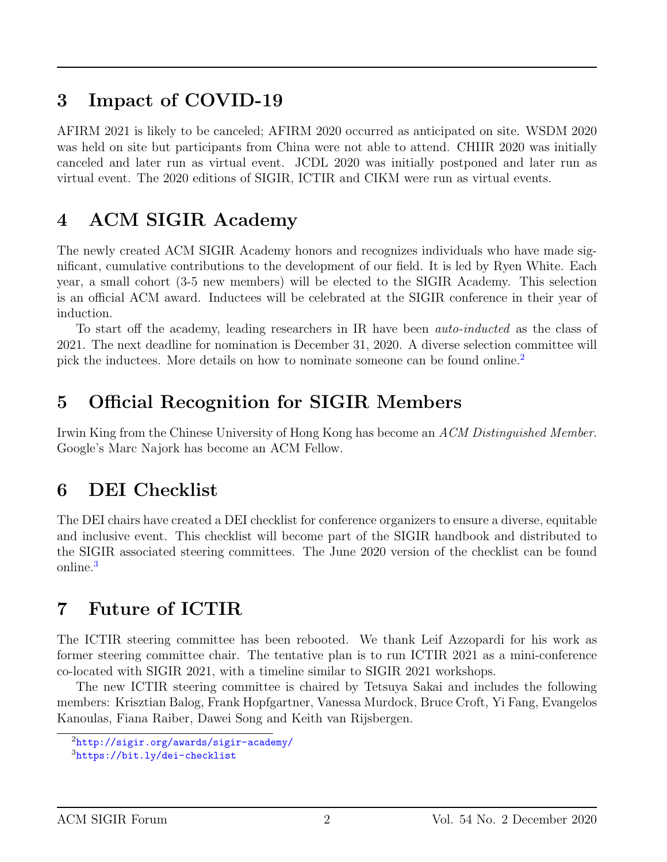#### 3 Impact of COVID-19

AFIRM 2021 is likely to be canceled; AFIRM 2020 occurred as anticipated on site. WSDM 2020 was held on site but participants from China were not able to attend. CHIIR 2020 was initially canceled and later run as virtual event. JCDL 2020 was initially postponed and later run as virtual event. The 2020 editions of SIGIR, ICTIR and CIKM were run as virtual events.

### 4 ACM SIGIR Academy

The newly created ACM SIGIR Academy honors and recognizes individuals who have made significant, cumulative contributions to the development of our field. It is led by Ryen White. Each year, a small cohort (3-5 new members) will be elected to the SIGIR Academy. This selection is an official ACM award. Inductees will be celebrated at the SIGIR conference in their year of induction.

To start off the academy, leading researchers in IR have been auto-inducted as the class of 2021. The next deadline for nomination is December 31, 2020. A diverse selection committee will pick the inductees. More details on how to nominate someone can be found online.<sup>[2](#page-1-0)</sup>

## 5 Official Recognition for SIGIR Members

Irwin King from the Chinese University of Hong Kong has become an ACM Distinguished Member. Google's Marc Najork has become an ACM Fellow.

### 6 DEI Checklist

The DEI chairs have created a DEI checklist for conference organizers to ensure a diverse, equitable and inclusive event. This checklist will become part of the SIGIR handbook and distributed to the SIGIR associated steering committees. The June 2020 version of the checklist can be found online.<sup>[3](#page-1-1)</sup>

# 7 Future of ICTIR

The ICTIR steering committee has been rebooted. We thank Leif Azzopardi for his work as former steering committee chair. The tentative plan is to run ICTIR 2021 as a mini-conference co-located with SIGIR 2021, with a timeline similar to SIGIR 2021 workshops.

The new ICTIR steering committee is chaired by Tetsuya Sakai and includes the following members: Krisztian Balog, Frank Hopfgartner, Vanessa Murdock, Bruce Croft, Yi Fang, Evangelos Kanoulas, Fiana Raiber, Dawei Song and Keith van Rijsbergen.

<span id="page-1-0"></span><sup>2</sup><http://sigir.org/awards/sigir-academy/>

<span id="page-1-1"></span><sup>3</sup><https://bit.ly/dei-checklist>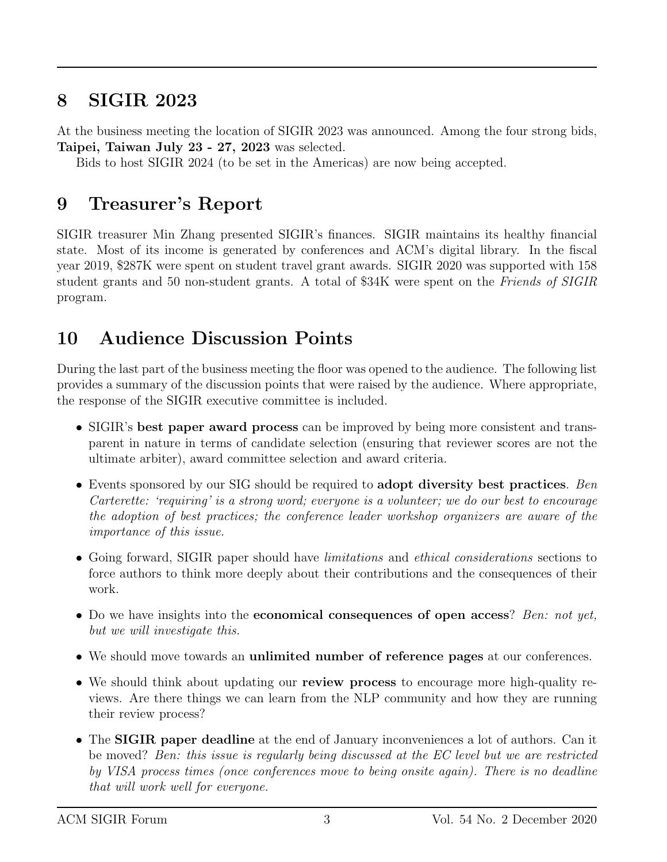#### 8 SIGIR 2023

At the business meeting the location of SIGIR 2023 was announced. Among the four strong bids, Taipei, Taiwan July 23 - 27, 2023 was selected.

Bids to host SIGIR 2024 (to be set in the Americas) are now being accepted.

### 9 Treasurer's Report

SIGIR treasurer Min Zhang presented SIGIR's finances. SIGIR maintains its healthy financial state. Most of its income is generated by conferences and ACM's digital library. In the fiscal year 2019, \$287K were spent on student travel grant awards. SIGIR 2020 was supported with 158 student grants and 50 non-student grants. A total of \$34K were spent on the Friends of SIGIR program.

## 10 Audience Discussion Points

During the last part of the business meeting the floor was opened to the audience. The following list provides a summary of the discussion points that were raised by the audience. Where appropriate, the response of the SIGIR executive committee is included.

- SIGIR's best paper award process can be improved by being more consistent and transparent in nature in terms of candidate selection (ensuring that reviewer scores are not the ultimate arbiter), award committee selection and award criteria.
- Events sponsored by our SIG should be required to adopt diversity best practices. Ben Carterette: 'requiring' is a strong word; everyone is a volunteer; we do our best to encourage the adoption of best practices; the conference leader workshop organizers are aware of the importance of this issue.
- Going forward, SIGIR paper should have *limitations* and *ethical considerations* sections to force authors to think more deeply about their contributions and the consequences of their work.
- Do we have insights into the **economical consequences of open access**? Ben: not yet, but we will investigate this.
- We should move towards an unlimited number of reference pages at our conferences.
- We should think about updating our **review process** to encourage more high-quality reviews. Are there things we can learn from the NLP community and how they are running their review process?
- The SIGIR paper deadline at the end of January inconveniences a lot of authors. Can it be moved? Ben: this issue is regularly being discussed at the EC level but we are restricted by VISA process times (once conferences move to being onsite again). There is no deadline that will work well for everyone.